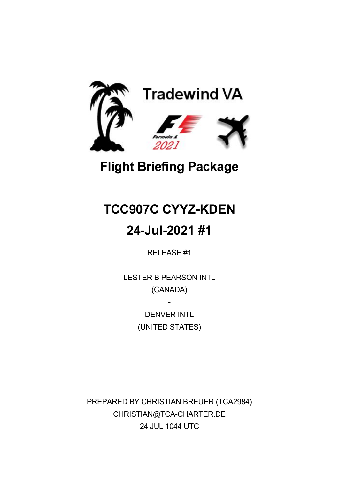

# **Flight Briefing Package**

# **TCC907C CYYZ-KDEN**

## **24-Jul-2021 #1**

RELEASE #1

LESTER B PEARSON INTL (CANADA)

> DENVER INTI (UNITED STATES)

-

PREPARED BY CHRISTIAN BREUER (TCA2984) CHRISTIAN@TCA-CHARTER.DE 24 JUL 1044 UTC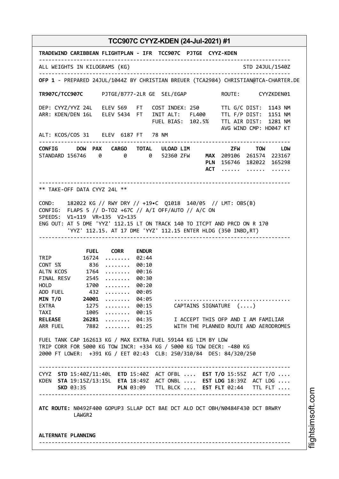**TRADEWIND CARIBBEAN FLIGHTPLAN - IFR TCC907C PJTGE CYYZ-KDEN** -------------------------------------------------------------------------------- ALL WEIGHTS IN KILOGRAMS (KG) STD 24JUL/1540Z -------------------------------------------------------------------------------- **OFP 1** - PREPARED 24JUL/1044Z BY CHRISTIAN BREUER (TCA2984) CHRISTIAN@TCA-CHARTER.DE **TR907C/TCC907C** PJTGE/B777-2LR GE SEL/EGAP ROUTE: CYYZKDEN01 DEP: CYYZ/YYZ 24L ELEV 569 FT COST INDEX: 250 TTL G/C DIST: 1143 NM ARR: KDEN/DEN 16L ELEV 5434 FT INIT ALT: FL400 TTL F/P DIST: 1151 NM FUEL BIAS: 102.5% TTL AIR DIST: 1281 NM AVG WIND CMP: HD047 KT ALT: KCOS/COS 31 ELEV 6187 FT 78 NM -------------------------------------------------------------------------------- **CONFIG DOW PAX CARGO TOTAL ULOAD LIM ZFW TOW LDW** STANDARD 156746 0 0 0 52360 ZFW **MAX** 209106 261574 223167 **PLN** 156746 182022 165298 **ACT** ...... ...... ...... -------------------------------------------------------------------------------- \*\* TAKE-OFF DATA CYYZ 24L \*\* COND: 182022 KG // RWY DRY // +19•C Q1018 140/05 // LMT: OBS(B) CONFIG: FLAPS 5 // D-TO2 +67C // A/I OFF/AUTO // A/C ON SPEEDS: V1=119 VR=135 V2=135 ENG OUT: AT 5 DME 'YYZ' 112.15 LT ON TRACK 140 TO ITCPT AND PRCD ON R 170 'YYZ' 112.15. AT 17 DME 'YYZ' 112.15 ENTER HLDG (350 INBD,RT) -------------------------------------------------------------------------------- **FUEL CORR ENDUR** TRIP 16724 ........ 02:44<br>CONT 5% 836 ........ 00:10 CONT 5% 836 ........ 00:10 ALTN KCOS 1764 ........ 00:16 FINAL RESV 2545 ........ 00:30 HOLD 1700 ........ 00:20 ADD FUEL 432 ........ 00:05 **MIN T/O 24001** ........ 04:05 ..................................... EXTRA 1275 ........ 00:15 CAPTAINS SIGNATURE (....)<br>TAXI 1005 ........ 00:15 TAXI 1005 ........ 00:15<br>RELEASE 26281 ........ 04:35 **RELEASE 26281** ........ 04:35 I ACCEPT THIS OFP AND I AM FAMILIAR<br>ARR FUEL 7882 ........ 01:25 WITH THE PLANNED ROUTE AND AERODROME 7882 ........ 01:25 WITH THE PLANNED ROUTE AND AERODROMES FUEL TANK CAP 162613 KG / MAX EXTRA FUEL 59144 KG LIM BY LDW TRIP CORR FOR 5000 KG TOW INCR: +334 KG / 5000 KG TOW DECR: -480 KG 2000 FT LOWER: +391 KG / EET 02:43 CLB: 250/310/84 DES: 84/320/250 -------------------------------------------------------------------------------- CYYZ **STD** 15:40Z/11:40L **ETD** 15:40Z ACT OFBL .... **EST T/O** 15:55Z ACT T/O .... KDEN **STA** 19:15Z/13:15L **ETA** 18:49Z ACT ONBL .... **EST LDG** 18:39Z ACT LDG .... **SKD** 03:35 **PLN** 03:09 TTL BLCK .... **EST FLT** 02:44 TTL FLT .... -------------------------------------------------------------------------------- **ATC ROUTE:** N0492F400 GOPUP3 SLLAP DCT BAE DCT ALO DCT OBH/N0484F430 DCT BRWRY LAWGR2 **ALTERNATE PLANNING** --------------------------------------------------------------------------------

m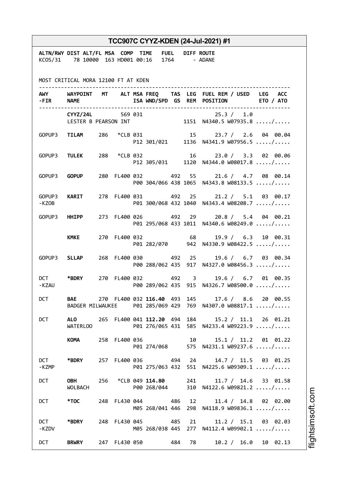| TCC907C CYYZ-KDEN (24-Jul-2021) #1  |                                                                                                                                                                                                                                |  |  |  |                                    |  |  |                                                                                                       |  |  |
|-------------------------------------|--------------------------------------------------------------------------------------------------------------------------------------------------------------------------------------------------------------------------------|--|--|--|------------------------------------|--|--|-------------------------------------------------------------------------------------------------------|--|--|
|                                     | ALTN/RWY DIST ALT/FL MSA COMP TIME FUEL DIFF ROUTE<br>KCOS/31 78 10000 163 HD001 00:16 1764 - ADANE                                                                                                                            |  |  |  |                                    |  |  |                                                                                                       |  |  |
| MOST CRITICAL MORA 12100 FT AT KDEN |                                                                                                                                                                                                                                |  |  |  |                                    |  |  |                                                                                                       |  |  |
|                                     | -FIR NAME                                                                                                                                                                                                                      |  |  |  |                                    |  |  | AWY WAYPOINT MT ALT MSA FREQ TAS LEG FUEL REM / USED LEG ACC<br>ISA WND/SPD GS REM POSITION ETO / ATO |  |  |
|                                     |                                                                                                                                                                                                                                |  |  |  |                                    |  |  | CYYZ/24L 569 031 25.3 / 1.0<br>LESTER B PEARSON INT 1151 N4340.5 W07935.8 /                           |  |  |
|                                     |                                                                                                                                                                                                                                |  |  |  |                                    |  |  | GOPUP3 TILAM 286 *CLB 031 15 23.7 / 2.6 04 00.04<br>P12 301/021 1136 N4341.9 W07956.5 /               |  |  |
|                                     |                                                                                                                                                                                                                                |  |  |  |                                    |  |  | GOPUP3 TULEK 288 *CLB 032 16 23.0 / 3.3 02 00.06<br>P12 305/031 1120 N4344.0 W08017.8 /               |  |  |
|                                     | GOPUP3 <b>GOPUP</b>                                                                                                                                                                                                            |  |  |  |                                    |  |  | 280 FL400 032 492 55 21.6 / 4.7 08 00.14<br>P00 304/066 438 1065 N4343.8 W08133.5 /                   |  |  |
| -KZOB                               | GOPUP3 KARIT                                                                                                                                                                                                                   |  |  |  |                                    |  |  | 278 FL400 031 492 25 21.2 / 5.1 03 00.17<br>P01 300/068 432 1040 N4343.4 W08208.7 /                   |  |  |
|                                     | GOPUP3 HHIPP                                                                                                                                                                                                                   |  |  |  |                                    |  |  | 273 FL400 026 492 29 20.8 / 5.4 04 00.21<br>P01 295/068 433 1011 N4340.6 W08249.0 /                   |  |  |
|                                     | <b>KMKE</b>                                                                                                                                                                                                                    |  |  |  | 270 FL400 032 68                   |  |  | 19.9 / 6.3 10 00.31<br>P01 282/070 942 N4330.9 W08422.5 /                                             |  |  |
|                                     | GOPUP3 SLLAP                                                                                                                                                                                                                   |  |  |  | 268 FL400 030 492 25               |  |  | 19.6 / 6.7 03 00.34<br>P00 288/062 435 917 N4327.0 W08456.3 /                                         |  |  |
| -KZAU                               | DCT *BDRY                                                                                                                                                                                                                      |  |  |  | 270 FL400 032 492 3                |  |  | 19.6 / 6.7 01 00.35<br>P00 289/062 435 915 N4326.7 W08500.0 /                                         |  |  |
| <b>DCT</b>                          |                                                                                                                                                                                                                                |  |  |  |                                    |  |  | BAE 270 FL400 032 116.40 493 145 17.6 / 8.6 20 00.55                                                  |  |  |
| <b>DCT</b>                          | WATERLOO                                                                                                                                                                                                                       |  |  |  |                                    |  |  | ALO 265 FL400 041 112.20 494 184 15.2 / 11.1 26 01.21<br>P01 276/065 431 585 N4233.4 W09223.9 /       |  |  |
|                                     | KOMANDER                                                                                                                                                                                                                       |  |  |  | 258 FL400 036 10                   |  |  | 15.1 / 11.2 01 01.22<br>P01 274/068 575 N4231.1 W09237.6 /                                            |  |  |
| DCT<br>-KZMP                        | *BDRY                                                                                                                                                                                                                          |  |  |  |                                    |  |  | 257 FL400 036 494 24 14.7 / 11.5 03 01.25<br>P01 275/063 432 551 N4225.6 W09309.1 /                   |  |  |
| <b>DCT</b>                          | <b>OBH</b><br>WOLBACH                                                                                                                                                                                                          |  |  |  | 256 *CLB 049 114.80<br>P00 268/044 |  |  | 241<br>11.7 / 14.6 33 01.58<br>310 N4122.6 W09821.2 /                                                 |  |  |
| <b>DCT</b>                          | *TOC to the set of the set of the set of the set of the set of the set of the set of the set of the set of the set of the set of the set of the set of the set of the set of the set of the set of the set of the set of the s |  |  |  | 248 FL430 044 486                  |  |  | 12 and $\overline{a}$<br>11.4 / 14.8 02 02.00<br>M05 268/041 446 298 N4118.9 W09836.1 /               |  |  |
| <b>DCT</b><br>-KZDV                 | *BDRY                                                                                                                                                                                                                          |  |  |  | 248 FL430 045 485                  |  |  | 21<br>$11.2 / 15.1$ 03 02.03<br>M05 268/038 445 277 N4112.4 W09902.1 /                                |  |  |
| <b>DCT</b>                          | <b>BRWRY</b>                                                                                                                                                                                                                   |  |  |  | 247 FL430 050 484 78               |  |  | 10.2 / 16.0 10 02.13                                                                                  |  |  |

i⊒<br>⊫ htsim soft.c o

m

Ī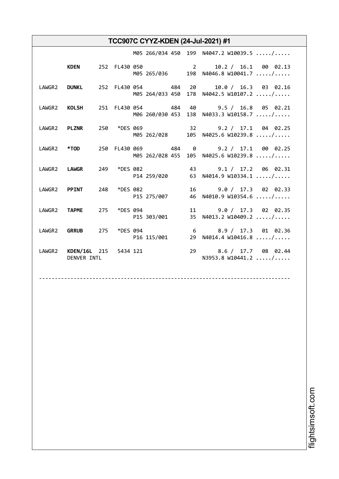|                                             |  |                         |  | M05 266/034 450 199 N4047.2 W10039.5 /                                                           |
|---------------------------------------------|--|-------------------------|--|--------------------------------------------------------------------------------------------------|
|                                             |  |                         |  | KDEN 252 FL430 050 2 10.2 / 16.1 00 02.13<br>M05 265/036 198 N4046.8 W10041.7 /                  |
|                                             |  |                         |  | LAWGR2 DUNKL 252 FL430 054 484 20 10.0 / 16.3 03 02.16<br>M05 264/033 450 178 N4042.5 W10107.2 / |
|                                             |  |                         |  | LAWGR2 KOLSH 251 FL430 054 484 40 9.5 / 16.8 05 02.21<br>M06 260/030 453 138 N4033.3 W10158.7 /  |
|                                             |  |                         |  | LAWGR2 PLZNR 250 *DES 069 32 9.2 / 17.1 04 02.25<br>M05 262/028 105 N4025.6 W10239.8 /           |
|                                             |  |                         |  | LAWGR2 *TOD 250 FL430 069 484 0 9.2 / 17.1 00 02.25<br>M05 262/028 455 105 N4025.6 W10239.8 /    |
|                                             |  |                         |  | LAWGR2 LAWGR 249 *DES 082 43 9.1 / 17.2 06 02.31<br>P14 259/020 63 N4014.9 W10334.1 /            |
| LAWGR2 PPINT 248 *DES 082                   |  | P15 275/007             |  | 16 9.0 / 17.3 02 02.33<br>46 N4010.9 W10354.6 /                                                  |
| LAWGR2 TAPME 275                            |  | *DES 094<br>P15 303/001 |  | 11 9.0 / 17.3 02 02.35<br>35 N4013.2 W10409.2 /                                                  |
|                                             |  |                         |  | LAWGR2 GRRUB 275 *DES 094 6 8.9 / 17.3 01 02.36<br>P16 115/001 29 N4014.4 W10416.8 /             |
| LAWGR2 KDEN/16L 215 5434 121<br>DENVER INTL |  |                         |  | 29 8.6 / 17.7 08 02.44<br>N3953.8 W10441.2 /                                                     |

--------------------------------------------------------------------------------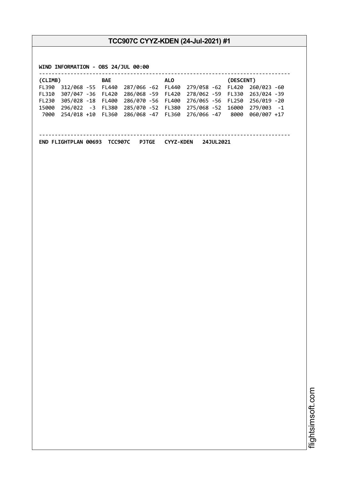**WIND INFORMATION - OBS 24/JUL 00:00**

| (CLIMB)      |                   | BAE | ALO. | (DESCENT)                                                         |  |  |
|--------------|-------------------|-----|------|-------------------------------------------------------------------|--|--|
| <b>FL390</b> |                   |     |      | 312/068 -55 FL440 287/066 -62 FL440 279/058 -62 FL420 260/023 -60 |  |  |
| FL310        | 307/047 -36 FL420 |     |      | 286/068 -59 FL420 278/062 -59 FL330 263/024 -39                   |  |  |
| <b>FL230</b> |                   |     |      | 305/028 -18 FL400 286/070 -56 FL400 276/065 -56 FL250 256/019 -20 |  |  |
| 15000        |                   |     |      | 296/022 -3 FL380 285/070 -52 FL380 275/068 -52 16000 279/003 -1   |  |  |
| 7000         |                   |     |      | 254/018 +10 FL360 286/068 -47 FL360 276/066 -47 8000 060/007 +17  |  |  |
|              |                   |     |      |                                                                   |  |  |
|              |                   |     |      |                                                                   |  |  |

--------------------------------------------------------------------------------

**END FLIGHTPLAN 00693 TCC907C PJTGE CYYZ-KDEN 24JUL2021**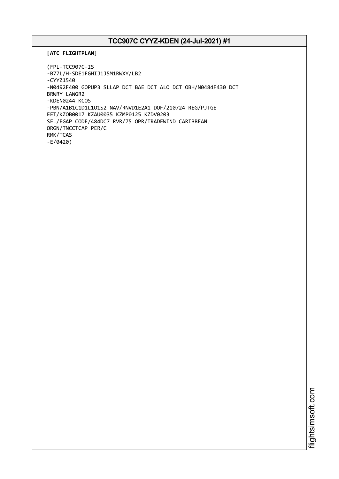```
[ATC FLIGHTPLAN]
```

```
(FPL-TCC907C-IS
-B77L/H-SDE1FGHIJ1J5M1RWXY/LB2
-CYYZ1540
-N0492F400 GOPUP3 SLLAP DCT BAE DCT ALO DCT OBH/N0484F430 DCT
BRWRY LAWGR2
-KDEN0244 KCOS
-PBN/A1B1C1D1L1O1S2 NAV/RNVD1E2A1 DOF/210724 REG/PJTGE
EET/KZOB0017 KZAU0035 KZMP0125 KZDV0203
SEL/EGAP CODE/484DC7 RVR/75 OPR/TRADEWIND CARIBBEAN
ORGN/TNCCTCAP PER/C
RMK/TCAS
-E/0420)
```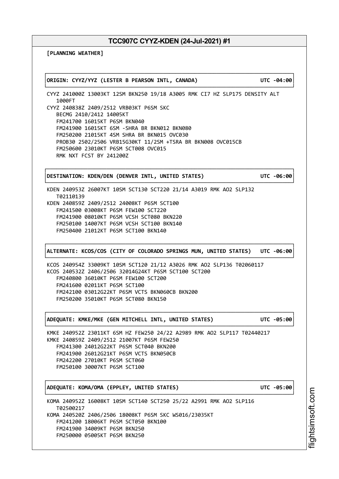┌──────────────────────────────────────────────────────────────────────────────┐

└──────────────────────────────────────────────────────────────────────────────┘

**[PLANNING WEATHER]**

│**ORIGIN: CYYZ/YYZ (LESTER B PEARSON INTL, CANADA) UTC -04:00**│

CYYZ 241000Z 13003KT 12SM BKN250 19/18 A3005 RMK CI7 HZ SLP175 DENSITY ALT 1000FT CYYZ 240838Z 2409/2512 VRB03KT P6SM SKC BECMG 2410/2412 14005KT FM241700 16015KT P6SM BKN040 FM241900 16015KT 6SM -SHRA BR BKN012 BKN080 FM250200 21015KT 4SM SHRA BR BKN015 OVC030 PROB30 2502/2506 VRB15G30KT 11/2SM +TSRA BR BKN008 OVC015CB FM250600 23010KT P6SM SCT008 OVC015 RMK NXT FCST BY 241200Z

│**DESTINATION: KDEN/DEN (DENVER INTL, UNITED STATES) UTC -06:00**│

┌──────────────────────────────────────────────────────────────────────────────┐

KDEN 240953Z 26007KT 10SM SCT130 SCT220 21/14 A3019 RMK AO2 SLP132 T02110139 KDEN 240859Z 2409/2512 24008KT P6SM SCT100 FM241500 03008KT P6SM FEW100 SCT220 FM241900 08010KT P6SM VCSH SCT080 BKN220 FM250100 14007KT P6SM VCSH SCT100 BKN140 FM250400 21012KT P6SM SCT100 BKN140

┌──────────────────────────────────────────────────────────────────────────────┐ │**ALTERNATE: KCOS/COS (CITY OF COLORADO SPRINGS MUN, UNITED STATES) UTC -06:00**│ └──────────────────────────────────────────────────────────────────────────────┘

┌──────────────────────────────────────────────────────────────────────────────┐

└──────────────────────────────────────────────────────────────────────────────┘

┌──────────────────────────────────────────────────────────────────────────────┐

└──────────────────────────────────────────────────────────────────────────────┘

└──────────────────────────────────────────────────────────────────────────────┘

KCOS 240954Z 33009KT 10SM SCT120 21/12 A3026 RMK AO2 SLP136 T02060117 KCOS 240532Z 2406/2506 32014G24KT P6SM SCT100 SCT200 FM240800 36010KT P6SM FEW100 SCT200 FM241600 02011KT P6SM SCT100 FM242100 03012G22KT P6SM VCTS BKN060CB BKN200 FM250200 35010KT P6SM SCT080 BKN150

│**ADEQUATE: KMKE/MKE (GEN MITCHELL INTL, UNITED STATES) UTC -05:00**│

KMKE 240952Z 23011KT 6SM HZ FEW250 24/22 A2989 RMK AO2 SLP117 T02440217 KMKE 240859Z 2409/2512 21007KT P6SM FEW250 FM241300 24012G22KT P6SM SCT040 BKN200 FM241900 26012G21KT P6SM VCTS BKN050CB FM242200 27010KT P6SM SCT060 FM250100 30007KT P6SM SCT100

│**ADEQUATE: KOMA/OMA (EPPLEY, UNITED STATES) UTC -05:00**│

KOMA 240952Z 16008KT 10SM SCT140 SCT250 25/22 A2991 RMK AO2 SLP116 T02500217 KOMA 240520Z 2406/2506 18008KT P6SM SKC WS016/23035KT FM241200 18006KT P6SM SCT050 BKN100 FM241900 34009KT P6SM BKN250 FM250000 05005KT P6SM BKN250

i⊒<br>⊫ htsim soft.c om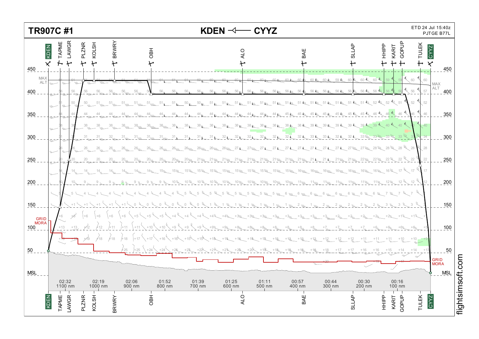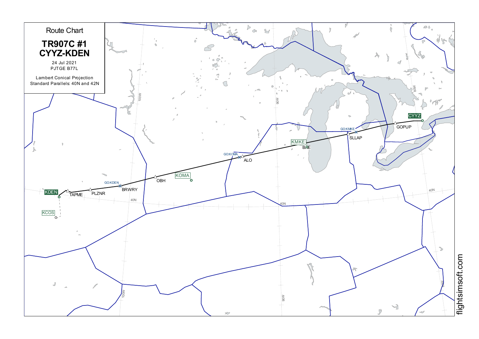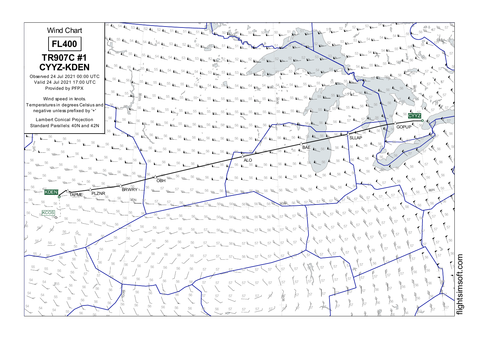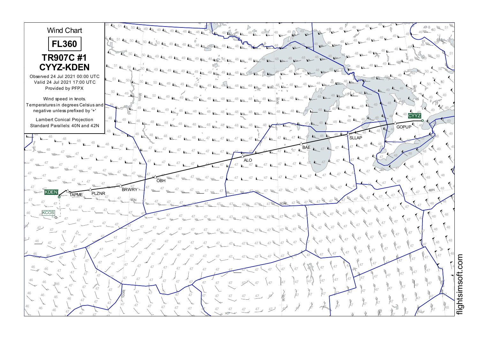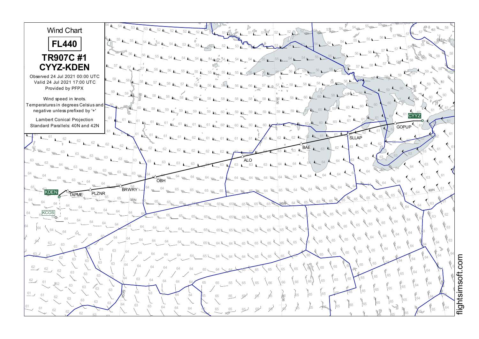